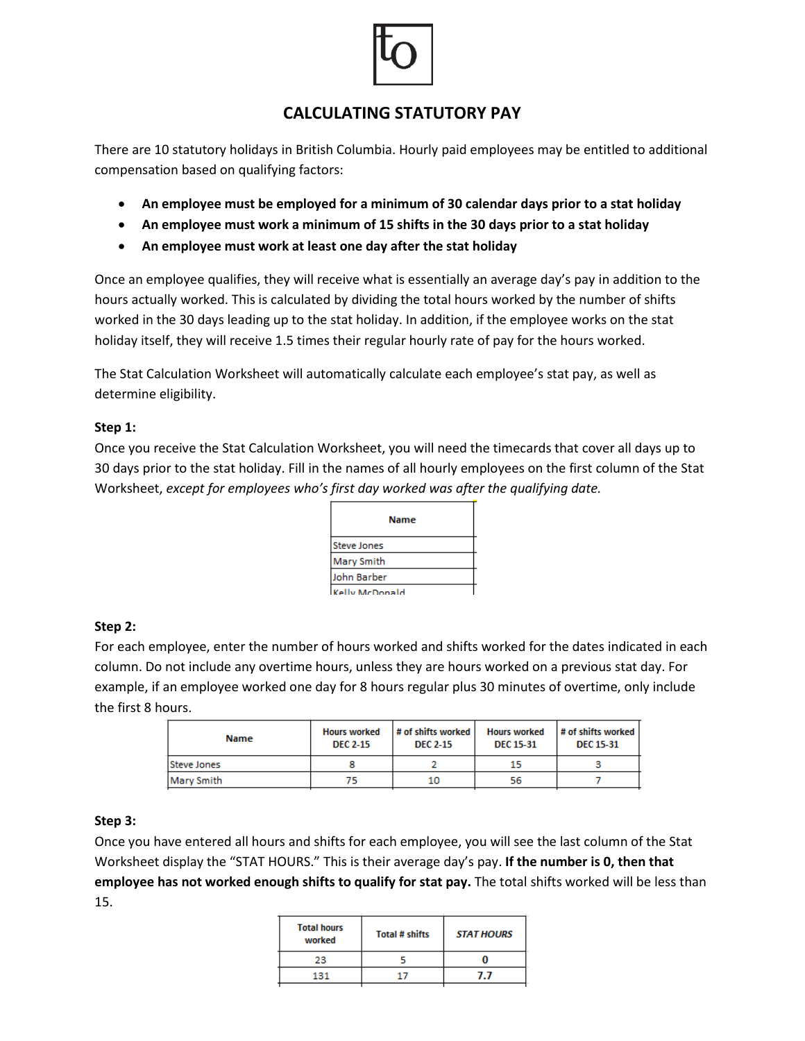

# **CALCULATING STATUTORY PAY**

There are 10 statutory holidays in British Columbia. Hourly paid employees may be entitled to additional compensation based on qualifying factors:

- **An employee must be employed for a minimum of 30 calendar days prior to a stat holiday**
- **An employee must work a minimum of 15 shifts in the 30 days prior to a stat holiday**
- **An employee must work at least one day after the stat holiday**

Once an employee qualifies, they will receive what is essentially an average day's pay in addition to the hours actually worked. This is calculated by dividing the total hours worked by the number of shifts worked in the 30 days leading up to the stat holiday. In addition, if the employee works on the stat holiday itself, they will receive 1.5 times their regular hourly rate of pay for the hours worked.

The Stat Calculation Worksheet will automatically calculate each employee's stat pay, as well as determine eligibility.

### **Step 1:**

Once you receive the Stat Calculation Worksheet, you will need the timecards that cover all days up to 30 days prior to the stat holiday. Fill in the names of all hourly employees on the first column of the Stat Worksheet, *except for employees who's first day worked was after the qualifying date.*

| <b>Name</b>    |  |  |
|----------------|--|--|
| Steve Jones    |  |  |
| Mary Smith     |  |  |
| John Barber    |  |  |
| Kelly McDonald |  |  |

## **Step 2:**

For each employee, enter the number of hours worked and shifts worked for the dates indicated in each column. Do not include any overtime hours, unless they are hours worked on a previous stat day. For example, if an employee worked one day for 8 hours regular plus 30 minutes of overtime, only include the first 8 hours.

| <b>Name</b> | <b>Hours worked</b><br><b>DEC 2-15</b> | $\#$ of shifts worked<br><b>DEC 2-15</b> | <b>Hours worked</b><br><b>DEC 15-31</b> | $\#$ of shifts worked<br><b>DEC 15-31</b> |
|-------------|----------------------------------------|------------------------------------------|-----------------------------------------|-------------------------------------------|
| Steve Jones |                                        |                                          | 15                                      |                                           |
| Mary Smith  |                                        | 10                                       | 56                                      |                                           |
|             |                                        |                                          |                                         |                                           |

## **Step 3:**

Once you have entered all hours and shifts for each employee, you will see the last column of the Stat Worksheet display the "STAT HOURS." This is their average day's pay. **If the number is 0, then that employee has not worked enough shifts to qualify for stat pay.** The total shifts worked will be less than 15.÷.  $\sim$ 

| <b>Total hours</b><br>worked | <b>Total # shifts</b> | <b>STAT HOURS</b> |
|------------------------------|-----------------------|-------------------|
| 23                           |                       |                   |
| 131                          |                       | , ,               |
|                              |                       |                   |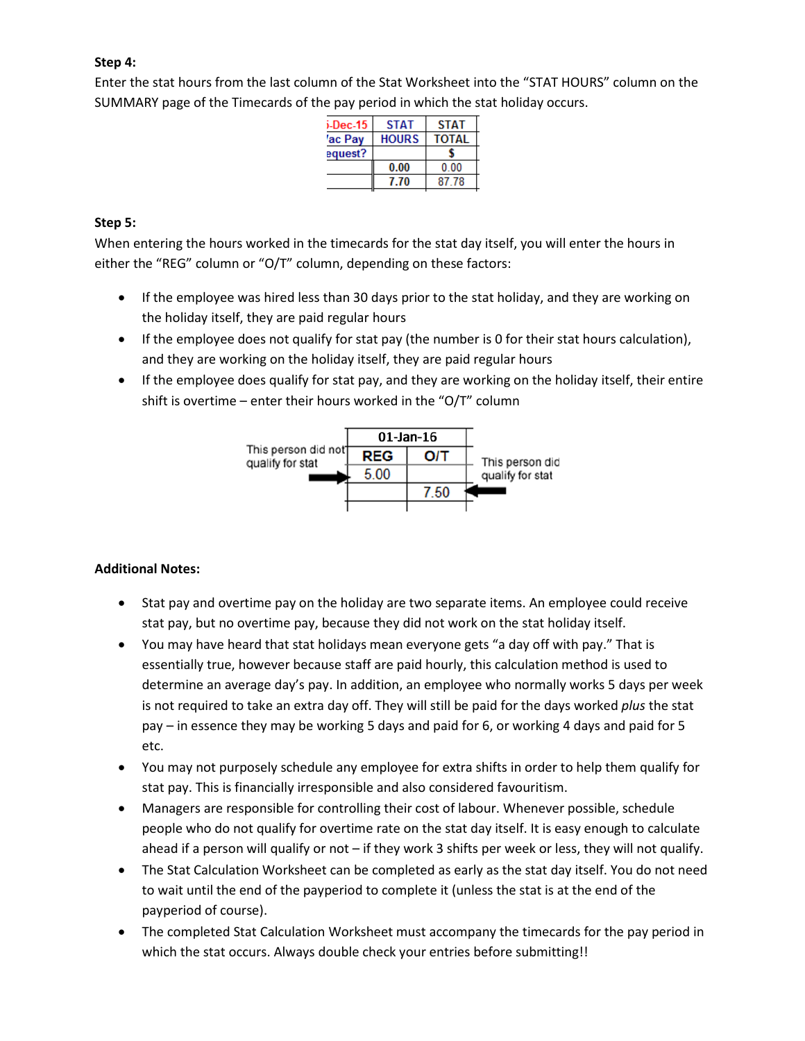# **Step 4:**

Enter the stat hours from the last column of the Stat Worksheet into the "STAT HOURS" column on the SUMMARY page of the Timecards of the pay period in which the stat holiday occurs.

| <b>STAT</b>  | <b>STAT</b>  |
|--------------|--------------|
| <b>HOURS</b> | <b>TOTAL</b> |
|              |              |
| 0.00         | 0 OO         |
| 7.70         | 87 78        |
|              |              |

# **Step 5:**

When entering the hours worked in the timecards for the stat day itself, you will enter the hours in either the "REG" column or "O/T" column, depending on these factors:

- If the employee was hired less than 30 days prior to the stat holiday, and they are working on the holiday itself, they are paid regular hours
- If the employee does not qualify for stat pay (the number is 0 for their stat hours calculation), and they are working on the holiday itself, they are paid regular hours
- If the employee does qualify for stat pay, and they are working on the holiday itself, their entire shift is overtime – enter their hours worked in the "O/T" column



## **Additional Notes:**

- Stat pay and overtime pay on the holiday are two separate items. An employee could receive stat pay, but no overtime pay, because they did not work on the stat holiday itself.
- You may have heard that stat holidays mean everyone gets "a day off with pay." That is essentially true, however because staff are paid hourly, this calculation method is used to determine an average day's pay. In addition, an employee who normally works 5 days per week is not required to take an extra day off. They will still be paid for the days worked *plus* the stat pay – in essence they may be working 5 days and paid for 6, or working 4 days and paid for 5 etc.
- You may not purposely schedule any employee for extra shifts in order to help them qualify for stat pay. This is financially irresponsible and also considered favouritism.
- Managers are responsible for controlling their cost of labour. Whenever possible, schedule people who do not qualify for overtime rate on the stat day itself. It is easy enough to calculate ahead if a person will qualify or not – if they work 3 shifts per week or less, they will not qualify.
- The Stat Calculation Worksheet can be completed as early as the stat day itself. You do not need to wait until the end of the payperiod to complete it (unless the stat is at the end of the payperiod of course).
- The completed Stat Calculation Worksheet must accompany the timecards for the pay period in which the stat occurs. Always double check your entries before submitting!!